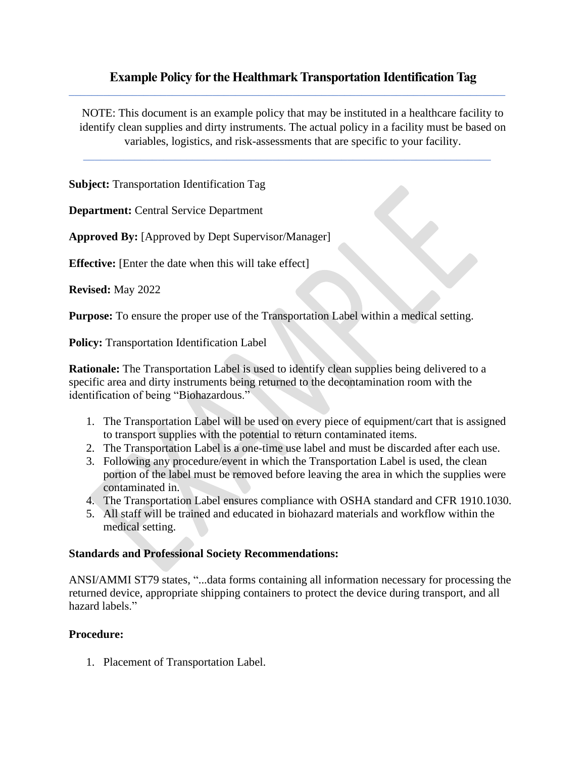# **Example Policy for the Healthmark Transportation Identification Tag**

 $\_$  , and the set of the set of the set of the set of the set of the set of the set of the set of the set of the set of the set of the set of the set of the set of the set of the set of the set of the set of the set of th

NOTE: This document is an example policy that may be instituted in a healthcare facility to identify clean supplies and dirty instruments. The actual policy in a facility must be based on variables, logistics, and risk-assessments that are specific to your facility.

 $\frac{1}{2}$  ,  $\frac{1}{2}$  ,  $\frac{1}{2}$  ,  $\frac{1}{2}$  ,  $\frac{1}{2}$  ,  $\frac{1}{2}$  ,  $\frac{1}{2}$  ,  $\frac{1}{2}$  ,  $\frac{1}{2}$  ,  $\frac{1}{2}$  ,  $\frac{1}{2}$  ,  $\frac{1}{2}$  ,  $\frac{1}{2}$  ,  $\frac{1}{2}$  ,  $\frac{1}{2}$  ,  $\frac{1}{2}$  ,  $\frac{1}{2}$  ,  $\frac{1}{2}$  ,  $\frac{1$ 

**Subject:** Transportation Identification Tag

**Department:** Central Service Department

**Approved By:** [Approved by Dept Supervisor/Manager]

**Effective:** [Enter the date when this will take effect]

**Revised:** May 2022

**Purpose:** To ensure the proper use of the Transportation Label within a medical setting.

**Policy:** Transportation Identification Label

**Rationale:** The Transportation Label is used to identify clean supplies being delivered to a specific area and dirty instruments being returned to the decontamination room with the identification of being "Biohazardous."

- 1. The Transportation Label will be used on every piece of equipment/cart that is assigned to transport supplies with the potential to return contaminated items.
- 2. The Transportation Label is a one-time use label and must be discarded after each use.
- 3. Following any procedure/event in which the Transportation Label is used, the clean portion of the label must be removed before leaving the area in which the supplies were contaminated in.
- 4. The Transportation Label ensures compliance with OSHA standard and CFR 1910.1030.
- 5. All staff will be trained and educated in biohazard materials and workflow within the medical setting.

## **Standards and Professional Society Recommendations:**

ANSI/AMMI ST79 states, "...data forms containing all information necessary for processing the returned device, appropriate shipping containers to protect the device during transport, and all hazard labels."

## **Procedure:**

1. Placement of Transportation Label.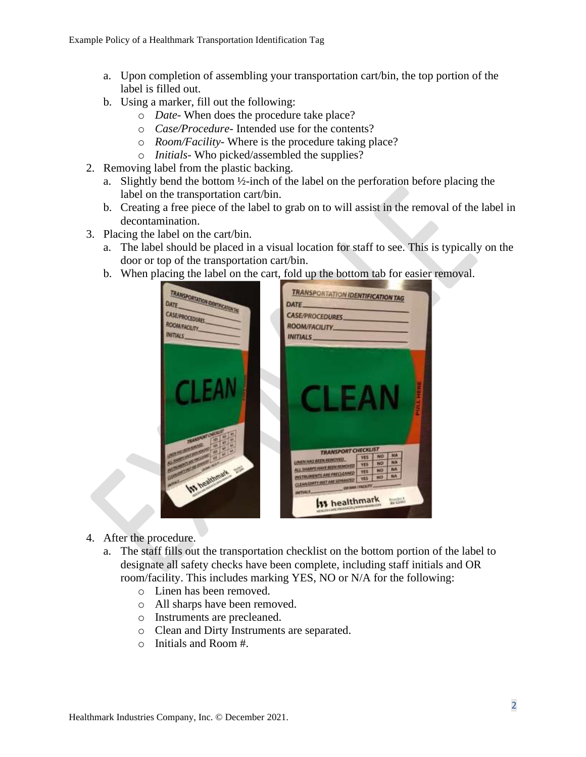- a. Upon completion of assembling your transportation cart/bin, the top portion of the label is filled out.
- b. Using a marker, fill out the following:
	- o *Date* When does the procedure take place?
	- o *Case/Procedure* Intended use for the contents?
	- o *Room/Facility* Where is the procedure taking place?
	- o *Initials* Who picked/assembled the supplies?
- 2. Removing label from the plastic backing.
	- a. Slightly bend the bottom ½-inch of the label on the perforation before placing the label on the transportation cart/bin.
	- b. Creating a free piece of the label to grab on to will assist in the removal of the label in decontamination.
- 3. Placing the label on the cart/bin.
	- a. The label should be placed in a visual location for staff to see. This is typically on the door or top of the transportation cart/bin.
	- b. When placing the label on the cart, fold up the bottom tab for easier removal.



- 4. After the procedure.
	- a. The staff fills out the transportation checklist on the bottom portion of the label to designate all safety checks have been complete, including staff initials and OR room/facility. This includes marking YES, NO or N/A for the following:
		- o Linen has been removed.
		- o All sharps have been removed.
		- o Instruments are precleaned.
		- o Clean and Dirty Instruments are separated.
		- o Initials and Room #.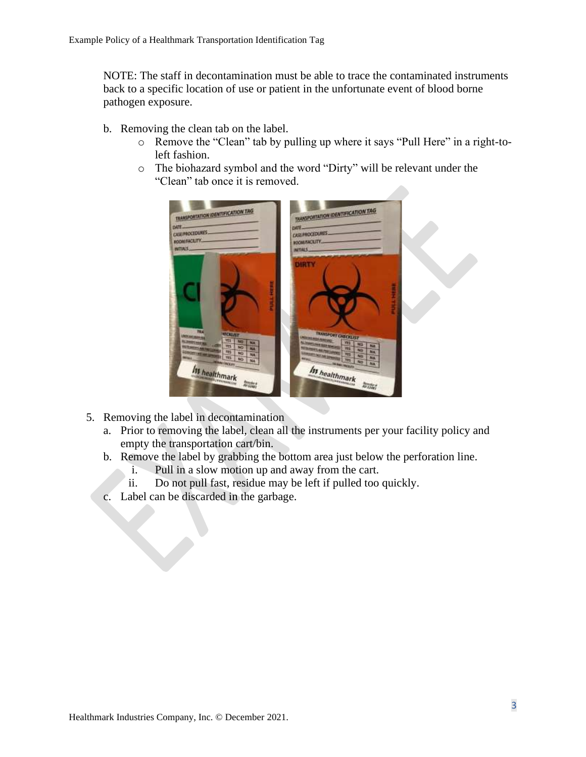NOTE: The staff in decontamination must be able to trace the contaminated instruments back to a specific location of use or patient in the unfortunate event of blood borne pathogen exposure.

- b. Removing the clean tab on the label.
	- o Remove the "Clean" tab by pulling up where it says "Pull Here" in a right-toleft fashion.
	- o The biohazard symbol and the word "Dirty" will be relevant under the "Clean" tab once it is removed.



- 5. Removing the label in decontamination
	- a. Prior to removing the label, clean all the instruments per your facility policy and empty the transportation cart/bin.
	- b. Remove the label by grabbing the bottom area just below the perforation line.
		- i. Pull in a slow motion up and away from the cart.
		- ii. Do not pull fast, residue may be left if pulled too quickly.
	- c. Label can be discarded in the garbage.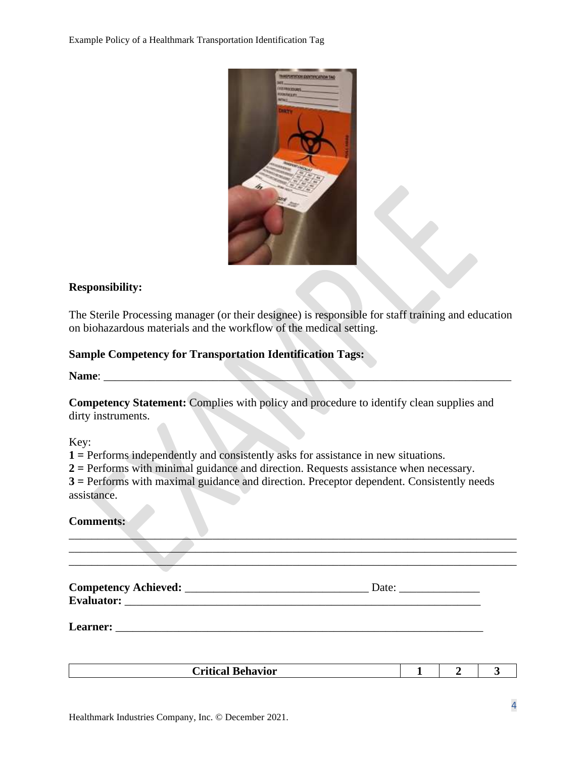

## **Responsibility:**

The Sterile Processing manager (or their designee) is responsible for staff training and education on biohazardous materials and the workflow of the medical setting.

## **Sample Competency for Transportation Identification Tags:**

Name:

**Competency Statement:** Complies with policy and procedure to identify clean supplies and dirty instruments.

Key:

**1 =** Performs independently and consistently asks for assistance in new situations.

**2 =** Performs with minimal guidance and direction. Requests assistance when necessary. **3 =** Performs with maximal guidance and direction. Preceptor dependent. Consistently needs assistance.

| <b>Comments:</b> |
|------------------|
|------------------|

| Date: $\frac{1}{\sqrt{1-\frac{1}{2}} \cdot \frac{1}{2}}$ |
|----------------------------------------------------------|
|                                                          |
|                                                          |
|                                                          |

| $\bullet$<br>D<br>avior<br>Critical<br>Della <sup>1</sup> | -- |  |
|-----------------------------------------------------------|----|--|
|                                                           |    |  |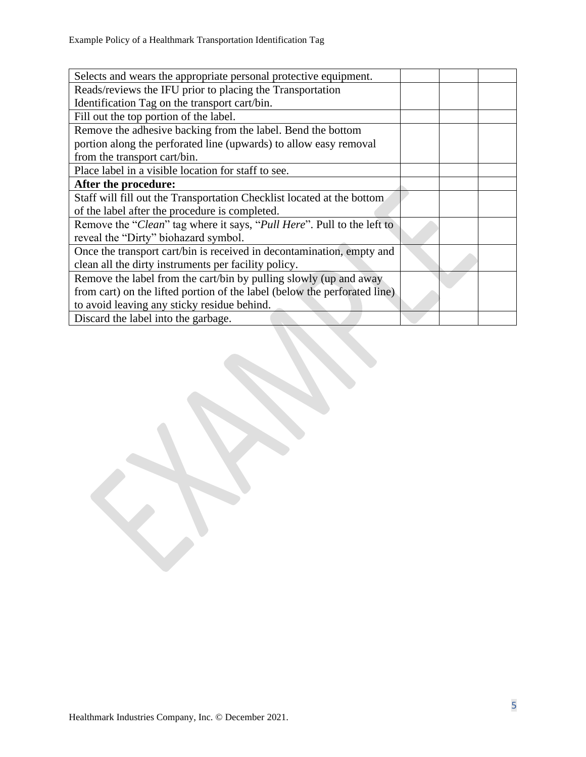| Selects and wears the appropriate personal protective equipment.          |  |  |
|---------------------------------------------------------------------------|--|--|
| Reads/reviews the IFU prior to placing the Transportation                 |  |  |
| Identification Tag on the transport cart/bin.                             |  |  |
| Fill out the top portion of the label.                                    |  |  |
| Remove the adhesive backing from the label. Bend the bottom               |  |  |
| portion along the perforated line (upwards) to allow easy removal         |  |  |
| from the transport cart/bin.                                              |  |  |
| Place label in a visible location for staff to see.                       |  |  |
| After the procedure:                                                      |  |  |
| Staff will fill out the Transportation Checklist located at the bottom    |  |  |
| of the label after the procedure is completed.                            |  |  |
| Remove the "Clean" tag where it says, "Pull Here". Pull to the left to    |  |  |
| reveal the "Dirty" biohazard symbol.                                      |  |  |
| Once the transport cart/bin is received in decontamination, empty and     |  |  |
| clean all the dirty instruments per facility policy.                      |  |  |
| Remove the label from the cart/bin by pulling slowly (up and away         |  |  |
| from cart) on the lifted portion of the label (below the perforated line) |  |  |
| to avoid leaving any sticky residue behind.                               |  |  |
| Discard the label into the garbage.                                       |  |  |